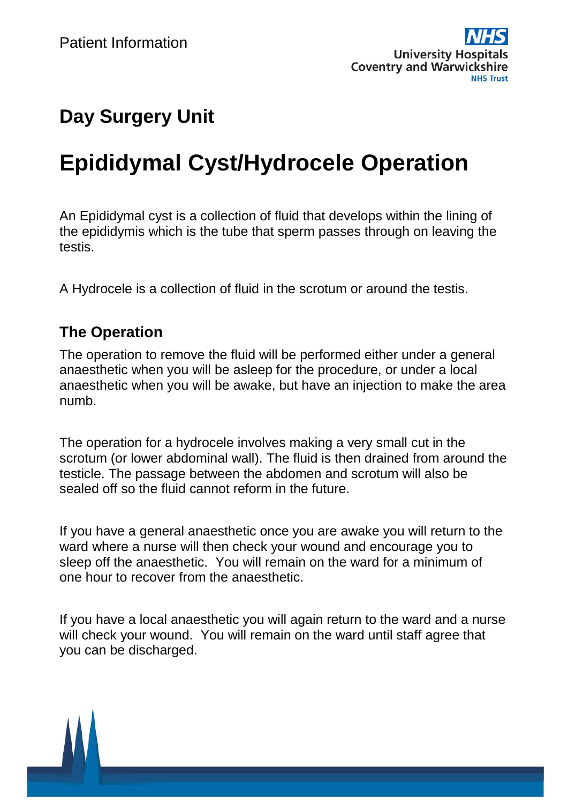

## **Day Surgery Unit**

# **Epididymal Cyst/Hydrocele Operation**

An Epididymal cyst is a collection of fluid that develops within the lining of the epididymis which is the tube that sperm passes through on leaving the testis.

A Hydrocele is a collection of fluid in the scrotum or around the testis.

#### **The Operation**

The operation to remove the fluid will be performed either under a general anaesthetic when you will be asleep for the procedure, or under a local anaesthetic when you will be awake, but have an injection to make the area numb.

The operation for a hydrocele involves making a very small cut in the scrotum (or lower abdominal wall). The fluid is then drained from around the testicle. The passage between the abdomen and scrotum will also be sealed off so the fluid cannot reform in the future.

If you have a general anaesthetic once you are awake you will return to the ward where a nurse will then check your wound and encourage you to sleep off the anaesthetic. You will remain on the ward for a minimum of one hour to recover from the anaesthetic.

If you have a local anaesthetic you will again return to the ward and a nurse will check your wound. You will remain on the ward until staff agree that you can be discharged.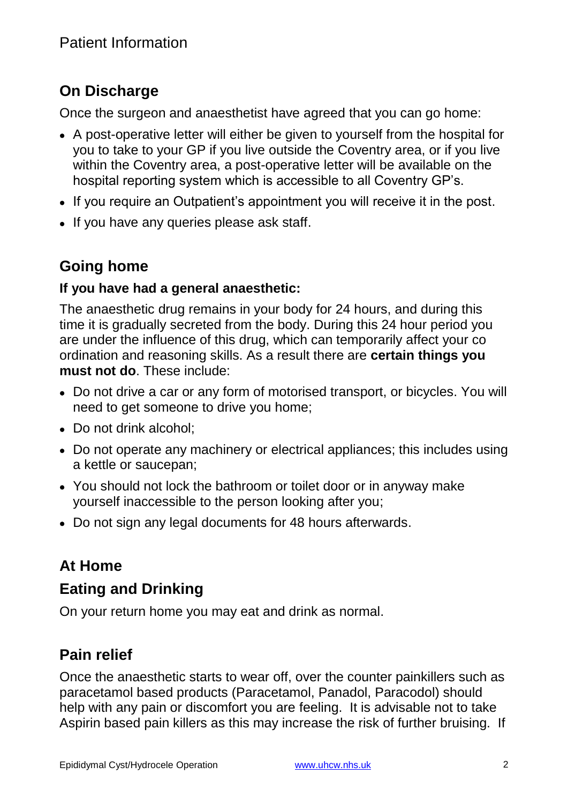## **On Discharge**

Once the surgeon and anaesthetist have agreed that you can go home:

- A post-operative letter will either be given to yourself from the hospital for you to take to your GP if you live outside the Coventry area, or if you live within the Coventry area, a post-operative letter will be available on the hospital reporting system which is accessible to all Coventry GP's.
- If you require an Outpatient's appointment you will receive it in the post.
- If you have any queries please ask staff.

## **Going home**

#### **If you have had a general anaesthetic:**

The anaesthetic drug remains in your body for 24 hours, and during this time it is gradually secreted from the body. During this 24 hour period you are under the influence of this drug, which can temporarily affect your co ordination and reasoning skills. As a result there are **certain things you must not do**. These include:

- Do not drive a car or any form of motorised transport, or bicycles. You will need to get someone to drive you home;
- Do not drink alcohol:
- Do not operate any machinery or electrical appliances; this includes using a kettle or saucepan;
- You should not lock the bathroom or toilet door or in anyway make yourself inaccessible to the person looking after you;
- Do not sign any legal documents for 48 hours afterwards.

## **At Home**

### **Eating and Drinking**

On your return home you may eat and drink as normal.

## **Pain relief**

Once the anaesthetic starts to wear off, over the counter painkillers such as paracetamol based products (Paracetamol, Panadol, Paracodol) should help with any pain or discomfort you are feeling. It is advisable not to take Aspirin based pain killers as this may increase the risk of further bruising. If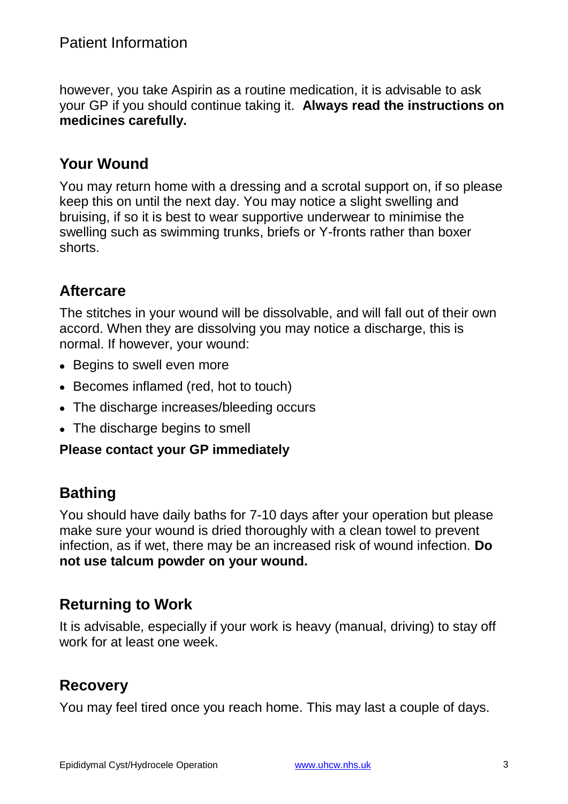however, you take Aspirin as a routine medication, it is advisable to ask your GP if you should continue taking it. **Always read the instructions on medicines carefully.**

## **Your Wound**

You may return home with a dressing and a scrotal support on, if so please keep this on until the next day. You may notice a slight swelling and bruising, if so it is best to wear supportive underwear to minimise the swelling such as swimming trunks, briefs or Y-fronts rather than boxer shorts.

#### **Aftercare**

The stitches in your wound will be dissolvable, and will fall out of their own accord. When they are dissolving you may notice a discharge, this is normal. If however, your wound:

- Begins to swell even more
- Becomes inflamed (red, hot to touch)
- The discharge increases/bleeding occurs
- The discharge begins to smell

#### **Please contact your GP immediately**

#### **Bathing**

You should have daily baths for 7-10 days after your operation but please make sure your wound is dried thoroughly with a clean towel to prevent infection, as if wet, there may be an increased risk of wound infection. **Do not use talcum powder on your wound.**

#### **Returning to Work**

It is advisable, especially if your work is heavy (manual, driving) to stay off work for at least one week.

#### **Recovery**

You may feel tired once you reach home. This may last a couple of days.